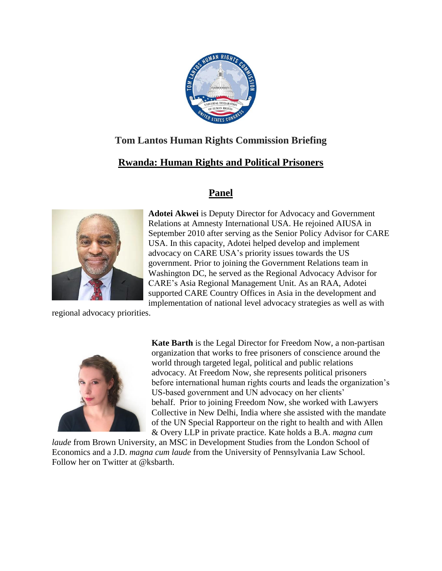

## **Tom Lantos Human Rights Commission Briefing**

## **Rwanda: Human Rights and Political Prisoners**

## **Panel**



**Adotei Akwei** is Deputy Director for Advocacy and Government Relations at Amnesty International USA. He rejoined AIUSA in September 2010 after serving as the Senior Policy Advisor for CARE USA. In this capacity, Adotei helped develop and implement advocacy on CARE USA's priority issues towards the US government. Prior to joining the Government Relations team in Washington DC, he served as the Regional Advocacy Advisor for CARE's Asia Regional Management Unit. As an RAA, Adotei supported CARE Country Offices in Asia in the development and implementation of national level advocacy strategies as well as with

regional advocacy priorities.



**Kate Barth** is the Legal Director for Freedom Now, a non-partisan organization that works to free prisoners of conscience around the world through targeted legal, political and public relations advocacy. At Freedom Now, she represents political prisoners before international human rights courts and leads the organization's US-based government and UN advocacy on her clients' behalf. Prior to joining Freedom Now, she worked with Lawyers Collective in New Delhi, India where she assisted with the mandate of the UN Special Rapporteur on the right to health and with Allen & Overy LLP in private practice. Kate holds a B.A. *magna cum* 

*laude* from Brown University, an MSC in Development Studies from the London School of Economics and a J.D. *magna cum laude* from the University of Pennsylvania Law School. Follow her on Twitter at @ksbarth.